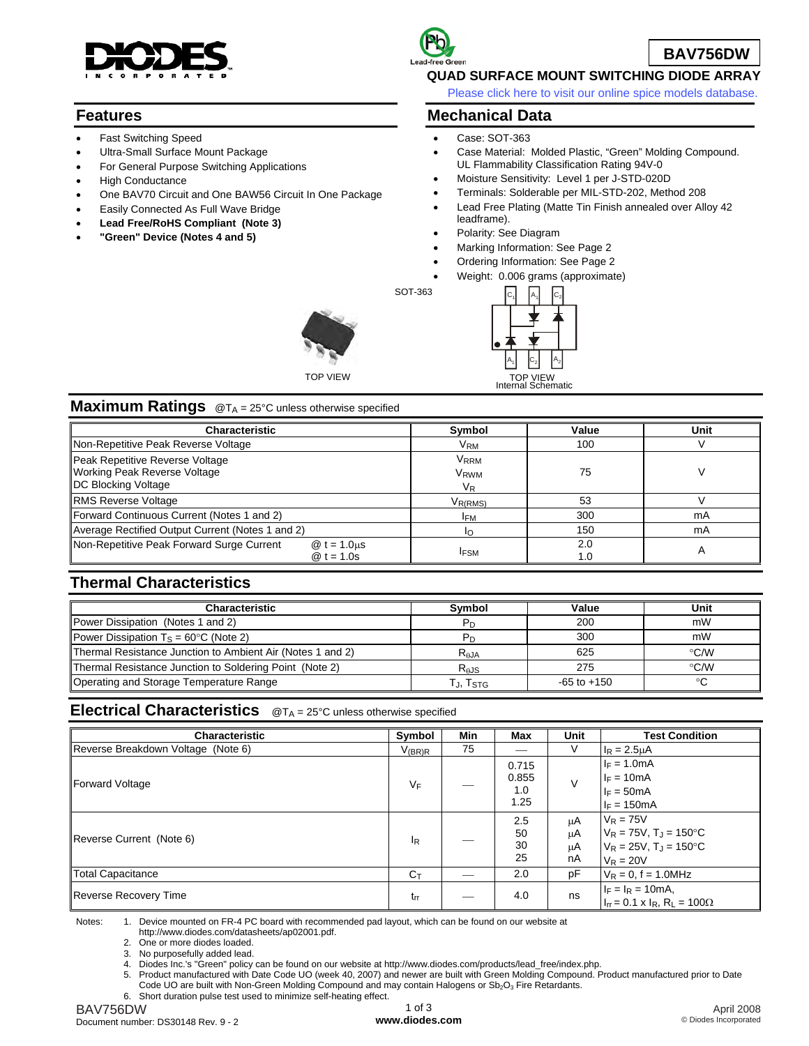

### **Features**

- Fast Switching Speed
- Ultra-Small Surface Mount Package
- For General Purpose Switching Applications
- **High Conductance**
- One BAV70 Circuit and One BAW56 Circuit In One Package
- Easily Connected As Full Wave Bridge
- **Lead Free/RoHS Compliant (Note 3)**
- **"Green" Device (Notes 4 and 5)**



### **QUAD SURFACE MOUNT SWITCHING DIODE ARRAY**

[Please click here to visit our online spice models database.](http://www.diodes.com/products/spicemodels/index.php)

**BAV756DW**

### **Mechanical Data**

- Case: SOT-363
- Case Material: Molded Plastic, "Green" Molding Compound. UL Flammability Classification Rating 94V-0
- Moisture Sensitivity: Level 1 per J-STD-020D
- Terminals: Solderable per MIL-STD-202, Method 208
- Lead Free Plating (Matte Tin Finish annealed over Alloy 42 leadframe).
- Polarity: See Diagram
- Marking Information: See Page 2
- Ordering Information: See Page 2
- Weight: 0.006 grams (approximate)

 $A<sub>2</sub>$  $A_1$  $A_1$  $\mathsf{C}_2$  $\mathsf{C}_2$ Internal Schematic TOP VIEW

## **Maximum Ratings** @T<sub>A</sub> = 25°C unless otherwise specified

TOP VIEW

| <b>Characteristic</b>                                                                         | Symbol                                         | Value      | Unit |  |
|-----------------------------------------------------------------------------------------------|------------------------------------------------|------------|------|--|
| Non-Repetitive Peak Reverse Voltage                                                           | V <sub>RM</sub>                                | 100        |      |  |
| Peak Repetitive Reverse Voltage<br><b>Working Peak Reverse Voltage</b><br>DC Blocking Voltage | <b>VRRM</b><br><b>V<sub>RWM</sub></b><br>$V_R$ | 75         |      |  |
| <b>RMS Reverse Voltage</b>                                                                    | V <sub>R(RMS)</sub>                            | 53         |      |  |
| Forward Continuous Current (Notes 1 and 2)                                                    | <b>IFM</b>                                     | 300        | mA   |  |
| Average Rectified Output Current (Notes 1 and 2)                                              | I٥                                             | 150        | mA   |  |
| Non-Repetitive Peak Forward Surge Current<br>$\textcircled{a}$ t = 1.0 us<br>@ $t = 1.0s$     | <b>IFSM</b>                                    | 2.0<br>1.0 | A    |  |

SOT-363

## **Thermal Characteristics**

| <b>Characteristic</b>                                             | <b>Symbol</b>         | Value           | Unit          |
|-------------------------------------------------------------------|-----------------------|-----------------|---------------|
| Power Dissipation (Notes 1 and 2)                                 | P <sub>D</sub>        | 200             | mW            |
| <b>Power Dissipation T<sub>S</sub></b> = 60 $^{\circ}$ C (Note 2) | <b>P</b> <sub>D</sub> | 300             | mW            |
| Thermal Resistance Junction to Ambient Air (Notes 1 and 2)        | $R_{AJA}$             | 625             | $\degree$ C/W |
| Thermal Resistance Junction to Soldering Point (Note 2)           | $R_{AJS}$             | 275             | $\degree$ C/W |
| Operating and Storage Temperature Range                           | Tj, Tstg              | $-65$ to $+150$ | ∘C            |

**Electrical Characteristics** @TA = 25°C unless otherwise specified

| <b>Characteristic</b>              | Symbol         | Min | Max                           | Unit                 | <b>Test Condition</b>                                                                                  |
|------------------------------------|----------------|-----|-------------------------------|----------------------|--------------------------------------------------------------------------------------------------------|
| Reverse Breakdown Voltage (Note 6) | $V_{(BR)R}$    | 75  |                               | V                    | $I_R = 2.5 \mu A$                                                                                      |
| Forward Voltage                    | $V_F$          |     | 0.715<br>0.855<br>1.0<br>1.25 | $\vee$               | $I_F = 1.0mA$<br>$I_F = 10mA$<br>$I_F = 50mA$<br>$I_F = 150mA$                                         |
| Reverse Current (Note 6)           | $I_R$          |     | 2.5<br>50<br>30<br>25         | μA<br>μA<br>μA<br>nA | $V_R = 75V$<br>$V_R = 75V$ , $T_J = 150^{\circ}C$<br>$V_R = 25V$ , $T_J = 150^{\circ}C$<br>$V_R = 20V$ |
| Total Capacitance                  | $C_{\text{T}}$ |     | 2.0                           | pF                   | $V_R = 0$ , f = 1.0MHz                                                                                 |
| Reverse Recovery Time              | $t_{rr}$       |     | 4.0                           | ns                   | $I_F = I_R = 10mA$ ,<br>$I_{rr} = 0.1 \times I_R$ , $R_L = 100 \Omega$                                 |

Notes: 1. Device mounted on FR-4 PC board with recommended pad layout, which can be found on our website at

http://www.diodes.com/datasheets/ap02001.pdf.<br>2 One or more diodes loaded

One or more diodes loaded.

3. No purposefully added lead.

4. Diodes Inc.'s "Green" policy can be found on our website at http://www.diodes.com/products/lead\_free/index.php.

5. Product manufactured with Date Code UO (week 40, 2007) and newer are built with Green Molding Compound. Product manufactured prior to Date

Code UO are built with Non-Green Molding Compound and may contain Halogens or Sb<sub>2</sub>O<sub>3</sub> Fire Retardants.

6. Short duration pulse test used to minimize self-heating effect.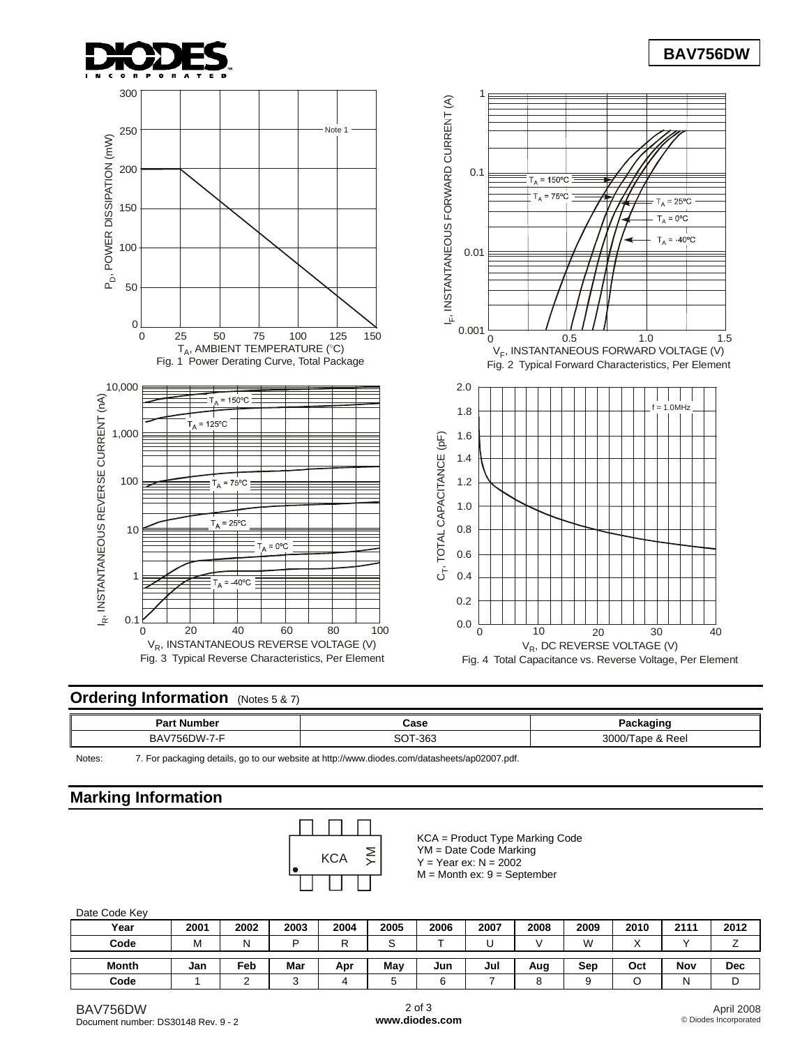

# **BAV756DW**



## **Ordering Information** (Notes 5 & 7)

| ː Number<br>Par           | Case<br>- - - -             |                                |
|---------------------------|-----------------------------|--------------------------------|
| ^ פ<br>$J - I - F$<br>DH. | 363<br>$\sim$<br><u>ີ ເ</u> | ∩∩∩?<br>Reel<br>l ape<br>3000/ |

Notes: 7. For packaging details, go to our website at<http://www.diodes.com/datasheets/ap02007.pdf>.

# **Marking Information**



KCA = Product Type Marking Code YM = Date Code Marking  $Y = Year$  ex:  $N = 2002$  $M =$  Month ex:  $9 =$  September

#### Date Code Key

| <b>Dail OUGO INCY</b> |      |      |      |      |      |        |      |      |      |      |      |      |
|-----------------------|------|------|------|------|------|--------|------|------|------|------|------|------|
| Year                  | 2001 | 2002 | 2003 | 2004 | 2005 | 2006   | 2007 | 2008 | 2009 | 2010 | 2111 | 2012 |
| Code                  | м    | N    | D    | ∽    |      |        |      |      | W    |      |      |      |
|                       |      |      |      |      |      |        |      |      |      |      |      |      |
| Month                 | Jan  | Feb  | Mar  | Apr  | Mav  | Jun    | Jul  | Aug  | Sep  | Oct  | Nov  | Dec  |
| Code                  |      |      |      |      |      | ∽<br>u |      | ັ    |      |      |      | ◡    |